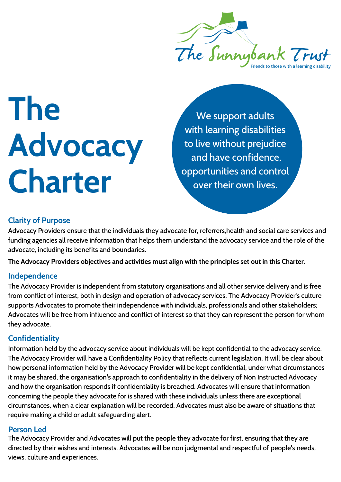

**The Advocacy Charter**

We support adults with learning disabilities to live without prejudice and have confidence, opportunities and control over their own lives.

# **Clarity of Purpose**

Advocacy Providers ensure that the individuals they advocate for, referrers,health and social care services and funding agencies all receive information that helps them understand the advocacy service and the role of the advocate, including its benefits and boundaries.

**The Advocacy Providers objectives and activities must align with the principles set out in this Charter.**

#### **Independence**

The Advocacy Provider is independent from statutory organisations and all other service delivery and is free from conflict of interest, both in design and operation of advocacy services. The Advocacy Provider's culture supports Advocates to promote their independence with individuals, professionals and other stakeholders; Advocates will be free from influence and conflict of interest so that they can represent the person for whom they advocate.

### **Confidentiality**

Information held by the advocacy service about individuals will be kept confidential to the advocacy service. The Advocacy Provider will have a Confidentiality Policy that reflects current legislation. It will be clear about how personal information held by the Advocacy Provider will be kept confidential, under what circumstances it may be shared, the organisation's approach to confidentiality in the delivery of Non Instructed Advocacy and how the organisation responds if confidentiality is breached. Advocates will ensure that information concerning the people they advocate for is shared with these individuals unless there are exceptional circumstances, when a clear explanation will be recorded. Advocates must also be aware of situations that require making a child or adult safeguarding alert.

#### **Person Led**

The Advocacy Provider and Advocates will put the people they advocate for first, ensuring that they are directed by their wishes and interests. Advocates will be non judgmental and respectful of people's needs, views, culture and experiences.